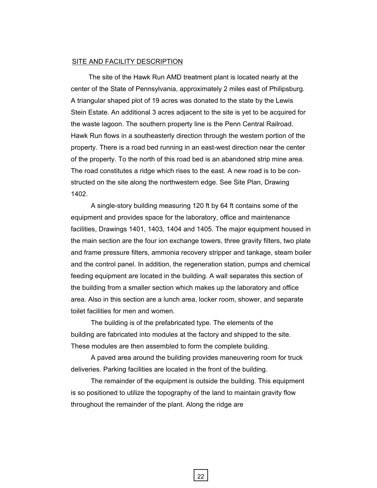## SITE AND FACILITY DESCRIPTION

The site of the Hawk Run AMD treatment plant is located nearly at the center of the State of Pennsylvania, approximately 2 miles east of Philipsburg. A triangular shaped plot of 19 acres was donated to the state by the Lewis Stein Estate. An additional 3 acres adjacent to the site is yet to be acquired for the waste lagoon. The southern property line is the Penn Central Railroad. Hawk Run flows in a southeasterly direction through the western portion of the property. There is a road bed running in an east-west direction near the center of the property. To the north of this road bed is an abandoned strip mine area. The road constitutes a ridge which rises to the east. A new road is to be constructed on the site along the northwestern edge. See Site Plan, Drawing 1402.

A single-story building measuring 120 ft by 64 ft contains some of the equipment and provides space for the laboratory, office and maintenance facilities, Drawings 1401, 1403, 1404 and 1405. The major equipment housed in the main section are the four ion exchange towers, three gravity filters, two plate and frame pressure filters, ammonia recovery stripper and tankage, steam boiler and the control panel. In addition, the regeneration station, pumps and chemical feeding equipment are located in the building. A wall separates this section of the building from a smaller section which makes up the laboratory and office area. Also in this section are a lunch area, locker room, shower, and separate toilet facilities for men and women.

The building is of the prefabricated type. The elements of the building are fabricated into modules at the factory and shipped to the site. These modules are then assembled to form the complete building.

A paved area around the building provides maneuvering room for truck deliveries. Parking facilities are located in the front of the building.

The remainder of the equipment is outside the building. This equipment is so positioned to utilize the topography of the land to maintain gravity flow throughout the remainder of the plant. Along the ridge are